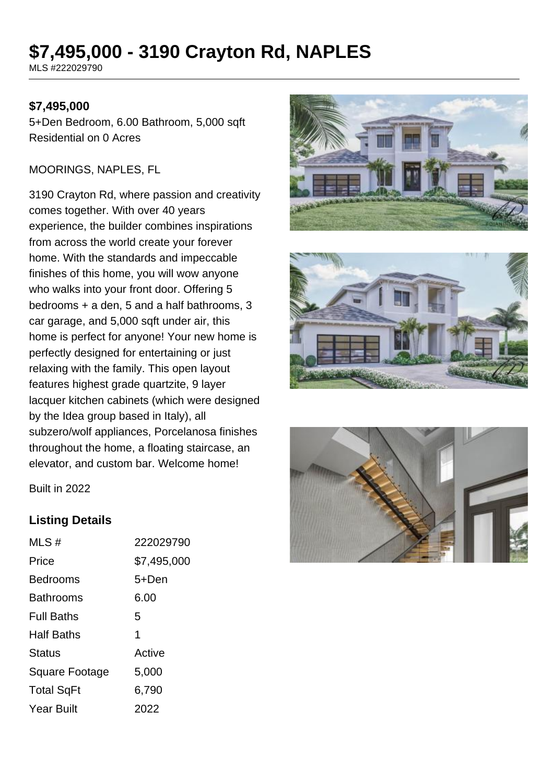# **\$7,495,000 - 3190 Crayton Rd, NAPLES**

MLS #222029790

### **\$7,495,000**

5+Den Bedroom, 6.00 Bathroom, 5,000 sqft Residential on 0 Acres

#### MOORINGS, NAPLES, FL

3190 Crayton Rd, where passion and creativity comes together. With over 40 years experience, the builder combines inspirations from across the world create your forever home. With the standards and impeccable finishes of this home, you will wow anyone who walks into your front door. Offering 5 bedrooms + a den, 5 and a half bathrooms, 3 car garage, and 5,000 sqft under air, this home is perfect for anyone! Your new home is perfectly designed for entertaining or just relaxing with the family. This open layout features highest grade quartzite, 9 layer lacquer kitchen cabinets (which were designed by the Idea group based in Italy), all subzero/wolf appliances, Porcelanosa finishes throughout the home, a floating staircase, an elevator, and custom bar. Welcome home!







Built in 2022

#### **Listing Details**

| MLS#              | 222029790   |
|-------------------|-------------|
| Price             | \$7,495,000 |
| <b>Bedrooms</b>   | 5+Den       |
| <b>Bathrooms</b>  | 6.00        |
| <b>Full Baths</b> | 5           |
| <b>Half Baths</b> | 1           |
| Status            | Active      |
| Square Footage    | 5,000       |
| <b>Total SqFt</b> | 6,790       |
| Year Built        | 2022        |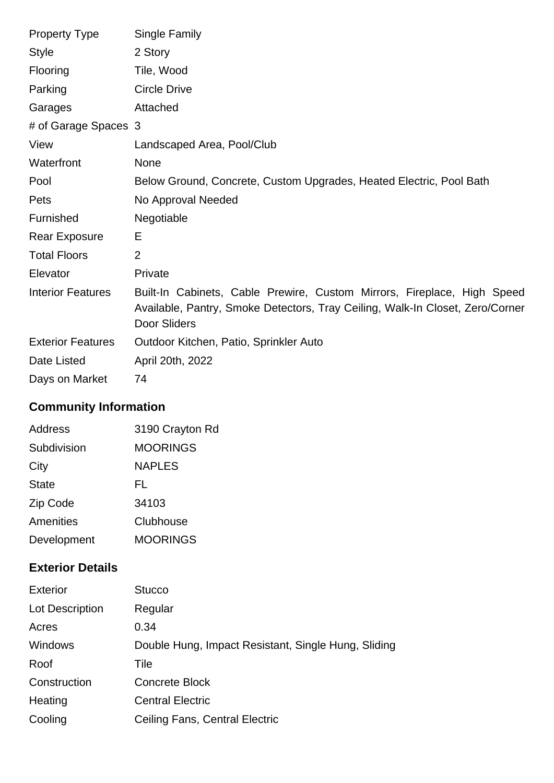| <b>Property Type</b>     | Single Family                                                                                                                                                                   |
|--------------------------|---------------------------------------------------------------------------------------------------------------------------------------------------------------------------------|
| <b>Style</b>             | 2 Story                                                                                                                                                                         |
| Flooring                 | Tile, Wood                                                                                                                                                                      |
| Parking                  | <b>Circle Drive</b>                                                                                                                                                             |
| Garages                  | Attached                                                                                                                                                                        |
| # of Garage Spaces 3     |                                                                                                                                                                                 |
| View                     | Landscaped Area, Pool/Club                                                                                                                                                      |
| Waterfront               | None                                                                                                                                                                            |
| Pool                     | Below Ground, Concrete, Custom Upgrades, Heated Electric, Pool Bath                                                                                                             |
| Pets                     | No Approval Needed                                                                                                                                                              |
| Furnished                | Negotiable                                                                                                                                                                      |
| <b>Rear Exposure</b>     | Е                                                                                                                                                                               |
| <b>Total Floors</b>      | $\overline{2}$                                                                                                                                                                  |
| Elevator                 | Private                                                                                                                                                                         |
| <b>Interior Features</b> | Built-In Cabinets, Cable Prewire, Custom Mirrors, Fireplace, High Speed<br>Available, Pantry, Smoke Detectors, Tray Ceiling, Walk-In Closet, Zero/Corner<br><b>Door Sliders</b> |
| <b>Exterior Features</b> | Outdoor Kitchen, Patio, Sprinkler Auto                                                                                                                                          |
| Date Listed              | April 20th, 2022                                                                                                                                                                |
| Days on Market           | 74                                                                                                                                                                              |

# **Community Information**

| <b>Address</b> | 3190 Crayton Rd |
|----------------|-----------------|
| Subdivision    | <b>MOORINGS</b> |
| City           | <b>NAPLES</b>   |
| <b>State</b>   | FL              |
| Zip Code       | 34103           |
| Amenities      | Clubhouse       |
| Development    | <b>MOORINGS</b> |

### **Exterior Details**

| <b>Exterior</b> | <b>Stucco</b>                                       |
|-----------------|-----------------------------------------------------|
| Lot Description | Regular                                             |
| Acres           | 0.34                                                |
| Windows         | Double Hung, Impact Resistant, Single Hung, Sliding |
| Roof            | Tile                                                |
| Construction    | <b>Concrete Block</b>                               |
| Heating         | <b>Central Electric</b>                             |
| Cooling         | Ceiling Fans, Central Electric                      |